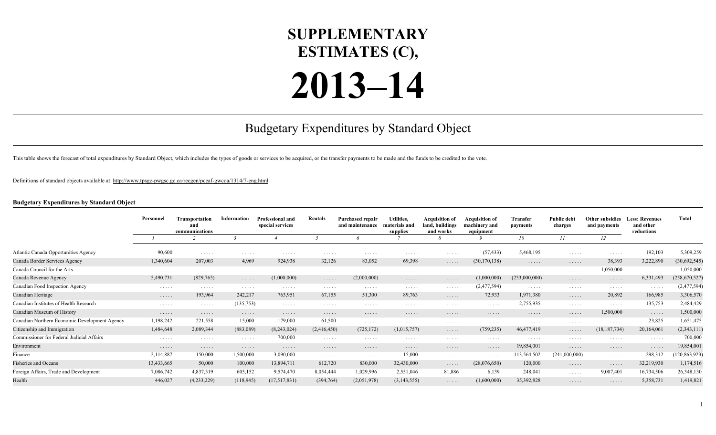## **SUPPLEMENTARY ESTIMATES (C),**

## **2013–14**

## Budgetary Expenditures by Standard Object

This table shows the forecast of total expenditures by Standard Object, which includes the types of goods or services to be acquired, or the transfer payments to be made and the funds to be credited to the vote.

Definitions of standard objects available at:<http://www.tpsgc-pwgsc.gc.ca/recgen/pceaf-gwcoa/1314/7-eng.html>

## **Budgetary Expenditures by Standard Object**

|                                               | Personnel  | <b>Transportation</b><br>and<br>communications | Information          | <b>Professional and</b><br>special services | Rentals     | <b>Purchased repair</b><br>and maintenance | Utilities,<br>materials and<br>supplies | <b>Acquisition of</b><br>land, buildings<br>and works | <b>Acauisition of</b><br>machinery and<br>equipment | Transfer<br>payments | <b>Public debt</b><br>charges | Other subsidies<br>and payments    | <b>Less: Revenues</b><br>and other<br>reductions | <b>Total</b>    |
|-----------------------------------------------|------------|------------------------------------------------|----------------------|---------------------------------------------|-------------|--------------------------------------------|-----------------------------------------|-------------------------------------------------------|-----------------------------------------------------|----------------------|-------------------------------|------------------------------------|--------------------------------------------------|-----------------|
|                                               |            |                                                |                      |                                             |             |                                            |                                         |                                                       |                                                     |                      | 10                            | 11                                 | 12                                               |                 |
| Atlantic Canada Opportunities Agency          | 90,600     | .                                              | $\cdots$             | $\cdots$                                    | $\cdots$    | .                                          | $\cdots$                                | .                                                     | (57, 433)                                           | 5,468,195            | .                             | $\cdots$                           | 192,103                                          | 5,309,259       |
| Canada Border Services Agency                 | 1,340,604  | 207,003                                        | 4,969                | 924,938                                     | 32,126      | 83,052                                     | 69,398                                  | $\cdots$ .                                            | (30, 170, 138)                                      | .                    | .                             | 38,393                             | 3,222,890                                        | (30,692,545)    |
| Canada Council for the Arts                   | .          | .                                              | .                    | .                                           | .           | .                                          | $\cdots$                                | .                                                     | .                                                   | .                    | .                             | 1,050,000                          | .                                                | 1,050,000       |
| Canada Revenue Agency                         | 5,490,731  | (829,765)                                      | .                    | (1,000,000)                                 | .           | (2,000,000)                                | .                                       | .                                                     | (1,000,000)                                         | (253,000,000)        | .                             | $\cdots$                           | 6,331,493                                        | (258, 670, 527) |
| Canadian Food Inspection Agency               | .          | .                                              | .                    | .                                           | .           | .                                          | $\cdots$                                | .                                                     | (2,477,594)                                         | $\cdots$             | .                             | .                                  | .                                                | (2,477,594)     |
| Canadian Heritage                             | .          | 193,964                                        | 242,217              | 763,951                                     | 67,155      | 51,300                                     | 89,763                                  | .                                                     | 72,933                                              | 1,971,380            | .                             | 20,892                             | 166,985                                          | 3,306,570       |
| Canadian Institutes of Health Research        | .          | .                                              | (135, 753)           | $\cdots$                                    | $\cdots$    | .                                          | $\cdots$                                | .                                                     | .                                                   | 2,755,935            | .                             | $\sim$ $\sim$ $\sim$ $\sim$ $\sim$ | 135,753                                          | 2,484,429       |
| Canadian Museum of History                    | .          | .                                              | .                    | .                                           | .           | .                                          | .                                       | .                                                     | .                                                   | .                    | .                             | 1,500,000                          | .                                                | 1,500,000       |
| Canadian Northern Economic Development Agency | 1,198,242  | 221,558                                        | 15,000               | 179,000                                     | 61,500      | .                                          | $\cdots$                                | .                                                     | .                                                   | .                    | .                             | $\sim$ $\sim$ $\sim$ $\sim$ $\sim$ | 23,825                                           | 1,651,475       |
| Citizenship and Immigration                   | 1,484,648  | 2,089,344                                      | (883,089)            | (8,243,024)                                 | (2,416,450) | (725, 172)                                 | (1,015,757)                             | $\cdots$ .                                            | (759, 235)                                          | 46,477,419           | .                             | (18, 187, 734)                     | 20,164,061                                       | (2,343,111)     |
| Commissioner for Federal Judicial Affairs     | .          | .                                              | .                    | 700,000                                     | $\cdots$    | .                                          | $\cdots$                                | .                                                     | .                                                   | .                    | .                             | .                                  | .                                                | 700,000         |
| Environment                                   | .          | .                                              | $\cdots\cdots\cdots$ | .                                           | .           | .                                          | .                                       | .                                                     | .                                                   | 19,854,001           | .                             | .                                  | .                                                | 19,854,001      |
| Finance                                       | 2,114,887  | 150,000                                        | 1,500,000            | 3,090,000                                   | $\cdots$    | .                                          | 15,000                                  | .                                                     | .                                                   | 113,564,502          | (241,000,000)                 | $\sim$ $\sim$ $\sim$ $\sim$ $\sim$ | 298,312                                          | 120,863,923)    |
| <b>Fisheries and Oceans</b>                   | 13,433,665 | 50,000                                         | 100,000              | 13,894,711                                  | 612,720     | 830,000                                    | 32,430,000                              | .                                                     | (28,076,650)                                        | 120,000              | .                             | .                                  | 32,219,930                                       | 1,174,516       |
| Foreign Affairs, Trade and Development        | 7,086,742  | 4,837,319                                      | 605,152              | 9,574,470                                   | 8,054,444   | 1,029,996                                  | 2,551,046                               | 81,886                                                | 6,139                                               | 248,041              | .                             | 9,007,401                          | 16,734,506                                       | 26,348,130      |
| Health                                        | 446,027    | (4,233,229)                                    | (118, 945)           | (17,517,831)                                | (394, 764)  | (2,051,978)                                | (3,143,555)                             | .                                                     | (1,600,000)                                         | 35,392,828           | .                             | .                                  | 5,358,731                                        | 1,419,821       |